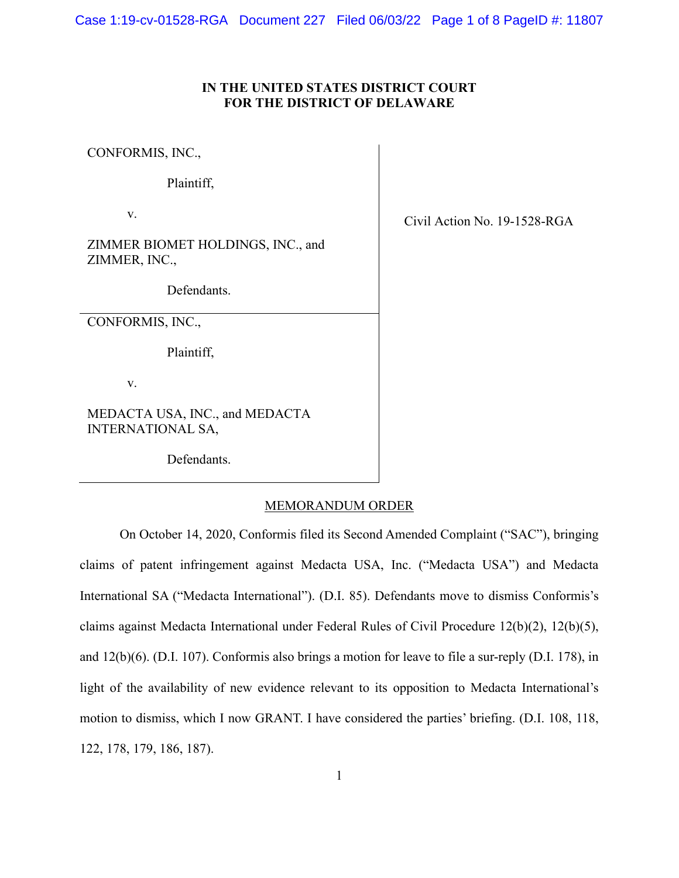# **IN THE UNITED STATES DISTRICT COURT FOR THE DISTRICT OF DELAWARE**

CONFORMIS, INC.,

Plaintiff,

v.

ZIMMER BIOMET HOLDINGS, INC., and ZIMMER, INC.,

Defendants.

CONFORMIS, INC.,

Plaintiff,

v.

MEDACTA USA, INC., and MEDACTA INTERNATIONAL SA,

Defendants.

#### MEMORANDUM ORDER

On October 14, 2020, Conformis filed its Second Amended Complaint ("SAC"), bringing claims of patent infringement against Medacta USA, Inc. ("Medacta USA") and Medacta International SA ("Medacta International"). (D.I. 85). Defendants move to dismiss Conformis's claims against Medacta International under Federal Rules of Civil Procedure 12(b)(2), 12(b)(5), and 12(b)(6). (D.I. 107). Conformis also brings a motion for leave to file a sur-reply (D.I. 178), in light of the availability of new evidence relevant to its opposition to Medacta International's motion to dismiss, which I now GRANT. I have considered the parties' briefing. (D.I. 108, 118, 122, 178, 179, 186, 187).

Civil Action No. 19-1528-RGA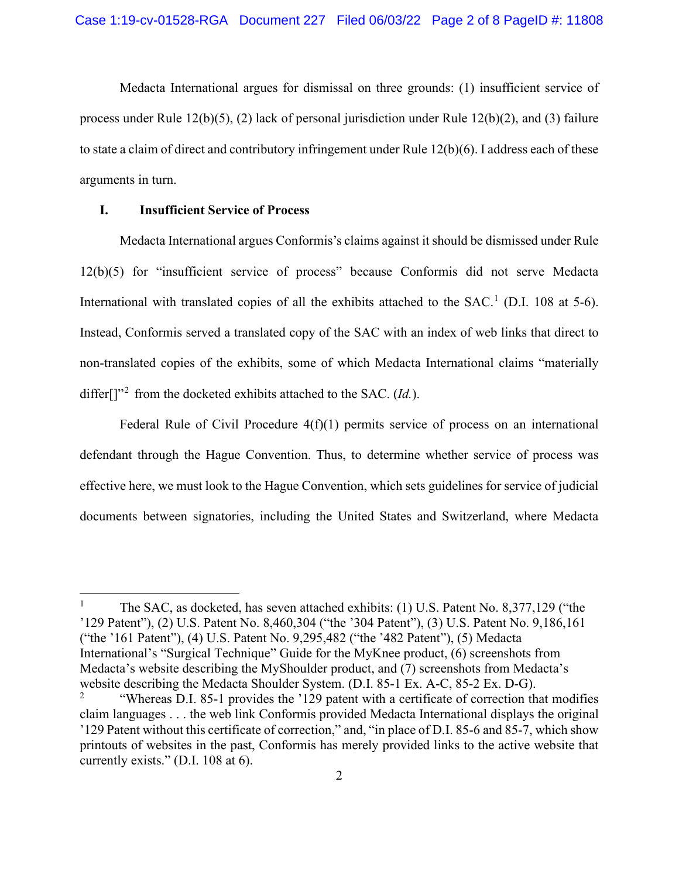Medacta International argues for dismissal on three grounds: (1) insufficient service of process under Rule 12(b)(5), (2) lack of personal jurisdiction under Rule 12(b)(2), and (3) failure to state a claim of direct and contributory infringement under Rule 12(b)(6). I address each of these arguments in turn.

# **I. Insufficient Service of Process**

Medacta International argues Conformis's claims against it should be dismissed under Rule 12(b)(5) for "insufficient service of process" because Conformis did not serve Medacta International with translated copies of all the exhibits attached to the SAC.<sup>[1](#page-1-0)</sup> (D.I. 108 at 5-6). Instead, Conformis served a translated copy of the SAC with an index of web links that direct to non-translated copies of the exhibits, some of which Medacta International claims "materially differ<sup>[]"[2](#page-1-1)</sup> from the docketed exhibits attached to the SAC. *(Id.)*.

Federal Rule of Civil Procedure  $4(f)(1)$  permits service of process on an international defendant through the Hague Convention. Thus, to determine whether service of process was effective here, we must look to the Hague Convention, which sets guidelines for service of judicial documents between signatories, including the United States and Switzerland, where Medacta

<span id="page-1-0"></span><sup>&</sup>lt;sup>1</sup> The SAC, as docketed, has seven attached exhibits: (1) U.S. Patent No. 8,377,129 ("the '129 Patent"), (2) U.S. Patent No. 8,460,304 ("the '304 Patent"), (3) U.S. Patent No. 9,186,161 ("the '161 Patent"), (4) U.S. Patent No. 9,295,482 ("the '482 Patent"), (5) Medacta International's "Surgical Technique" Guide for the MyKnee product, (6) screenshots from Medacta's website describing the MyShoulder product, and (7) screenshots from Medacta's website describing the Medacta Shoulder System. (D.I. 85-1 Ex. A-C, 85-2 Ex. D-G).

<span id="page-1-1"></span><sup>&</sup>quot;Whereas D.I. 85-1 provides the '129 patent with a certificate of correction that modifies claim languages . . . the web link Conformis provided Medacta International displays the original '129 Patent without this certificate of correction," and, "in place of D.I. 85-6 and 85-7, which show printouts of websites in the past, Conformis has merely provided links to the active website that currently exists." (D.I. 108 at 6).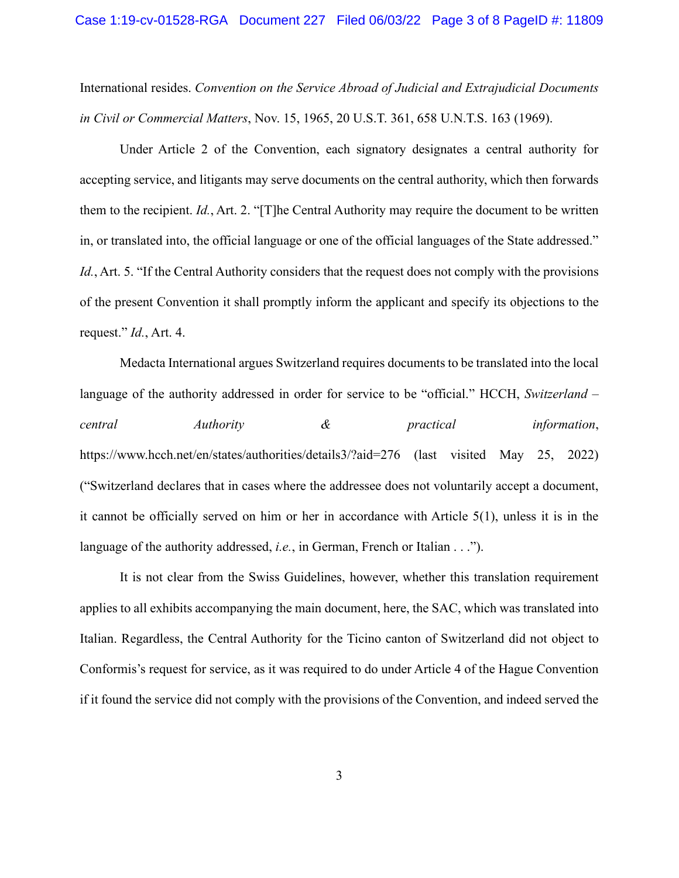International resides. *Convention on the Service Abroad of Judicial and Extrajudicial Documents in Civil or Commercial Matters*, Nov. 15, 1965, 20 U.S.T. 361, 658 U.N.T.S. 163 (1969).

Under Article 2 of the Convention, each signatory designates a central authority for accepting service, and litigants may serve documents on the central authority, which then forwards them to the recipient. *Id.*, Art. 2. "[T]he Central Authority may require the document to be written in, or translated into, the official language or one of the official languages of the State addressed." *Id.*, Art. 5. "If the Central Authority considers that the request does not comply with the provisions of the present Convention it shall promptly inform the applicant and specify its objections to the request." *Id.*, Art. 4.

Medacta International argues Switzerland requires documents to be translated into the local language of the authority addressed in order for service to be "official." HCCH, *Switzerland – central Authority & practical information*, https://www.hcch.net/en/states/authorities/details3/?aid=276 (last visited May 25, 2022) ("Switzerland declares that in cases where the addressee does not voluntarily accept a document, it cannot be officially served on him or her in accordance with Article 5(1), unless it is in the language of the authority addressed, *i.e.*, in German, French or Italian . . .").

It is not clear from the Swiss Guidelines, however, whether this translation requirement applies to all exhibits accompanying the main document, here, the SAC, which was translated into Italian. Regardless, the Central Authority for the Ticino canton of Switzerland did not object to Conformis's request for service, as it was required to do under Article 4 of the Hague Convention if it found the service did not comply with the provisions of the Convention, and indeed served the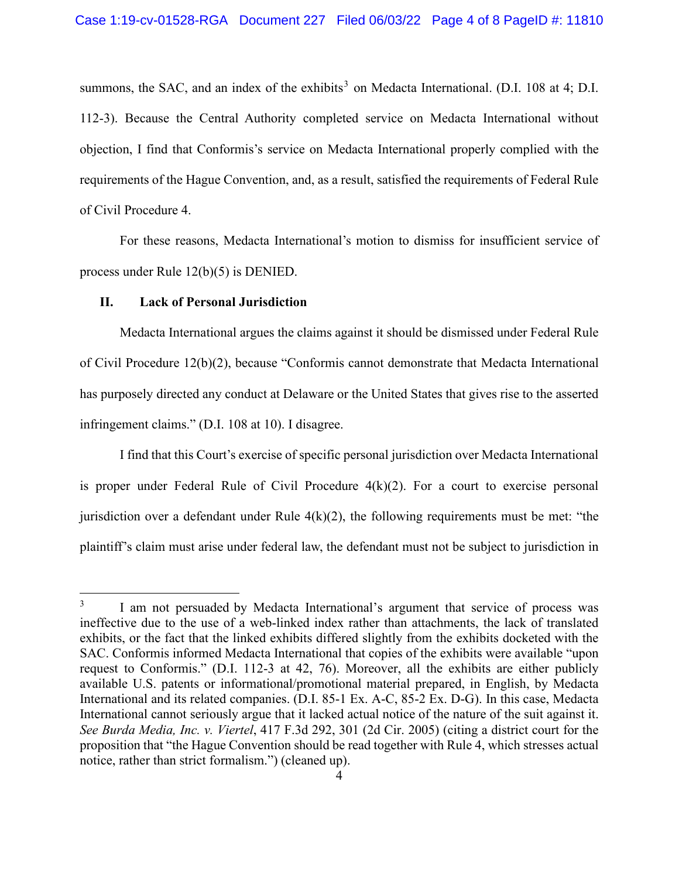summons, the SAC, and an index of the exhibits<sup>[3](#page-3-0)</sup> on Medacta International. (D.I. 108 at 4; D.I. 112-3). Because the Central Authority completed service on Medacta International without objection, I find that Conformis's service on Medacta International properly complied with the requirements of the Hague Convention, and, as a result, satisfied the requirements of Federal Rule of Civil Procedure 4.

For these reasons, Medacta International's motion to dismiss for insufficient service of process under Rule 12(b)(5) is DENIED.

### **II. Lack of Personal Jurisdiction**

Medacta International argues the claims against it should be dismissed under Federal Rule of Civil Procedure 12(b)(2), because "Conformis cannot demonstrate that Medacta International has purposely directed any conduct at Delaware or the United States that gives rise to the asserted infringement claims." (D.I. 108 at 10). I disagree.

I find that this Court's exercise of specific personal jurisdiction over Medacta International is proper under Federal Rule of Civil Procedure 4(k)(2). For a court to exercise personal jurisdiction over a defendant under Rule  $4(k)(2)$ , the following requirements must be met: "the plaintiff's claim must arise under federal law, the defendant must not be subject to jurisdiction in

<span id="page-3-0"></span><sup>&</sup>lt;sup>3</sup> I am not persuaded by Medacta International's argument that service of process was ineffective due to the use of a web-linked index rather than attachments, the lack of translated exhibits, or the fact that the linked exhibits differed slightly from the exhibits docketed with the SAC. Conformis informed Medacta International that copies of the exhibits were available "upon request to Conformis." (D.I. 112-3 at 42, 76). Moreover, all the exhibits are either publicly available U.S. patents or informational/promotional material prepared, in English, by Medacta International and its related companies. (D.I. 85-1 Ex. A-C, 85-2 Ex. D-G). In this case, Medacta International cannot seriously argue that it lacked actual notice of the nature of the suit against it. *See Burda Media, Inc. v. Viertel*, 417 F.3d 292, 301 (2d Cir. 2005) (citing a district court for the proposition that "the Hague Convention should be read together with Rule 4, which stresses actual notice, rather than strict formalism.") (cleaned up).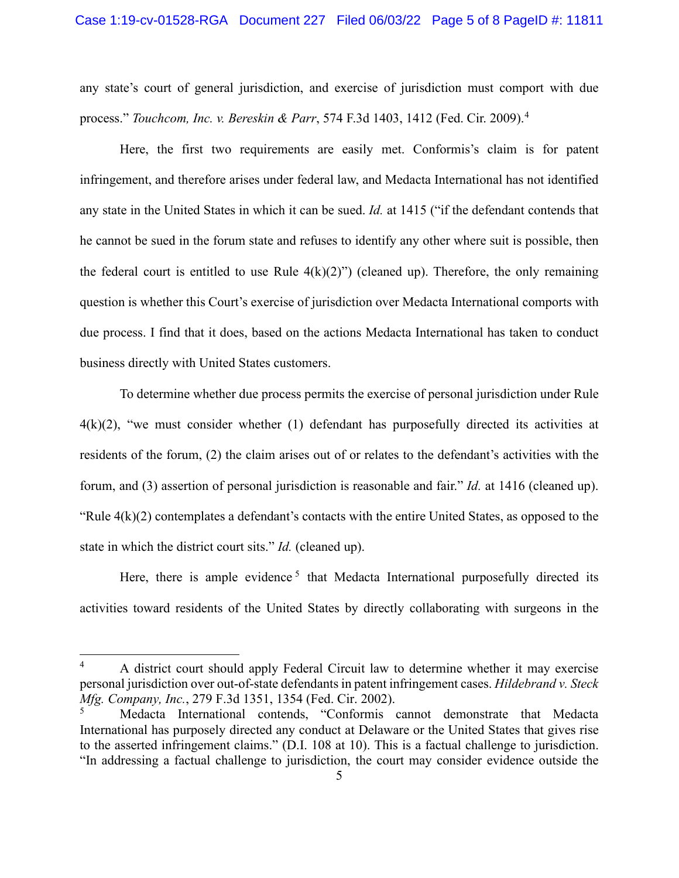any state's court of general jurisdiction, and exercise of jurisdiction must comport with due process." *Touchcom, Inc. v. Bereskin & Parr*, 574 F.3d 1403, 1412 (Fed. Cir. 2009).[4](#page-4-0)

Here, the first two requirements are easily met. Conformis's claim is for patent infringement, and therefore arises under federal law, and Medacta International has not identified any state in the United States in which it can be sued. *Id.* at 1415 ("if the defendant contends that he cannot be sued in the forum state and refuses to identify any other where suit is possible, then the federal court is entitled to use Rule  $4(k)(2)$ ") (cleaned up). Therefore, the only remaining question is whether this Court's exercise of jurisdiction over Medacta International comports with due process. I find that it does, based on the actions Medacta International has taken to conduct business directly with United States customers.

To determine whether due process permits the exercise of personal jurisdiction under Rule  $4(k)(2)$ , "we must consider whether (1) defendant has purposefully directed its activities at residents of the forum, (2) the claim arises out of or relates to the defendant's activities with the forum, and (3) assertion of personal jurisdiction is reasonable and fair." *Id.* at 1416 (cleaned up). "Rule  $4(k)(2)$  contemplates a defendant's contacts with the entire United States, as opposed to the state in which the district court sits." *Id.* (cleaned up).

Here, there is ample evidence<sup>[5](#page-4-1)</sup> that Medacta International purposefully directed its activities toward residents of the United States by directly collaborating with surgeons in the

<span id="page-4-0"></span><sup>&</sup>lt;sup>4</sup> A district court should apply Federal Circuit law to determine whether it may exercise personal jurisdiction over out-of-state defendants in patent infringement cases. *Hildebrand v. Steck Mfg. Company, Inc.*, 279 F.3d 1351, 1354 (Fed. Cir. 2002).

<span id="page-4-1"></span><sup>5</sup> Medacta International contends, "Conformis cannot demonstrate that Medacta International has purposely directed any conduct at Delaware or the United States that gives rise to the asserted infringement claims." (D.I. 108 at 10). This is a factual challenge to jurisdiction. "In addressing a factual challenge to jurisdiction, the court may consider evidence outside the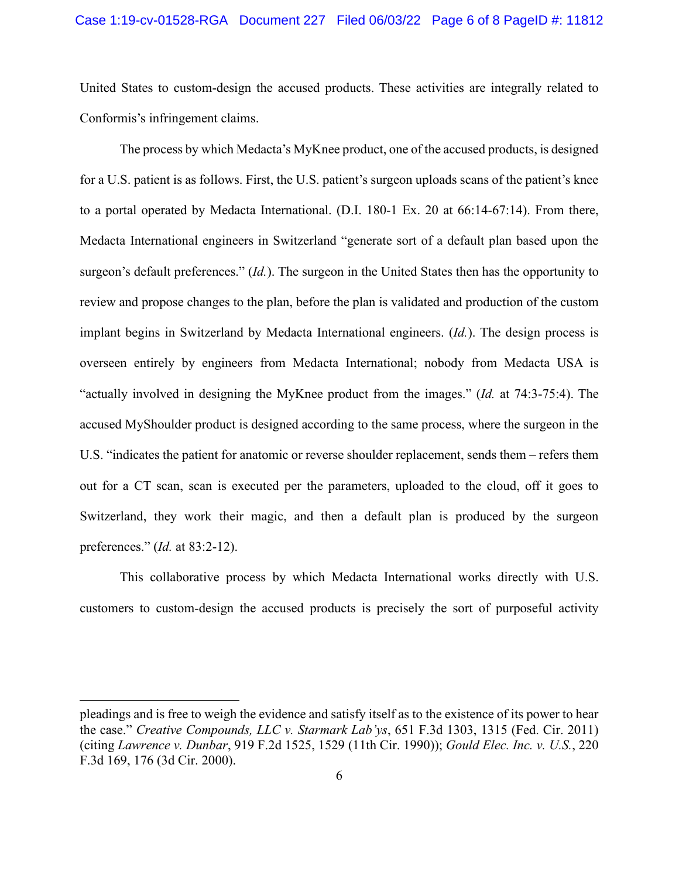United States to custom-design the accused products. These activities are integrally related to Conformis's infringement claims.

The process by which Medacta's MyKnee product, one of the accused products, is designed for a U.S. patient is as follows. First, the U.S. patient's surgeon uploads scans of the patient's knee to a portal operated by Medacta International. (D.I. 180-1 Ex. 20 at 66:14-67:14). From there, Medacta International engineers in Switzerland "generate sort of a default plan based upon the surgeon's default preferences." (*Id.*). The surgeon in the United States then has the opportunity to review and propose changes to the plan, before the plan is validated and production of the custom implant begins in Switzerland by Medacta International engineers. (*Id.*). The design process is overseen entirely by engineers from Medacta International; nobody from Medacta USA is "actually involved in designing the MyKnee product from the images." (*Id.* at 74:3-75:4). The accused MyShoulder product is designed according to the same process, where the surgeon in the U.S. "indicates the patient for anatomic or reverse shoulder replacement, sends them – refers them out for a CT scan, scan is executed per the parameters, uploaded to the cloud, off it goes to Switzerland, they work their magic, and then a default plan is produced by the surgeon preferences." (*Id.* at 83:2-12).

This collaborative process by which Medacta International works directly with U.S. customers to custom-design the accused products is precisely the sort of purposeful activity

pleadings and is free to weigh the evidence and satisfy itself as to the existence of its power to hear the case." *Creative Compounds, LLC v. Starmark Lab'ys*, 651 F.3d 1303, 1315 (Fed. Cir. 2011) (citing *Lawrence v. Dunbar*, 919 F.2d 1525, 1529 (11th Cir. 1990)); *Gould Elec. Inc. v. U.S.*, 220 F.3d 169, 176 (3d Cir. 2000).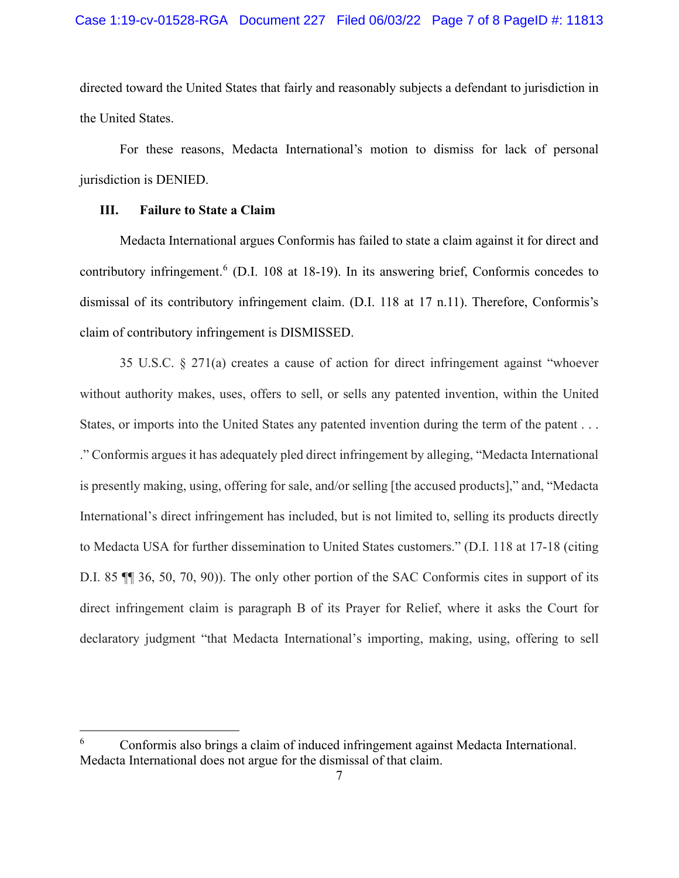directed toward the United States that fairly and reasonably subjects a defendant to jurisdiction in the United States.

For these reasons, Medacta International's motion to dismiss for lack of personal jurisdiction is DENIED.

## **III. Failure to State a Claim**

Medacta International argues Conformis has failed to state a claim against it for direct and contributory infringement.<sup>[6](#page-6-0)</sup> (D.I. 108 at 18-19). In its answering brief, Conformis concedes to dismissal of its contributory infringement claim. (D.I. 118 at 17 n.11). Therefore, Conformis's claim of contributory infringement is DISMISSED.

35 U.S.C. § 271(a) creates a cause of action for direct infringement against "whoever without authority makes, uses, offers to sell, or sells any patented invention, within the United States, or imports into the United States any patented invention during the term of the patent . . . ." Conformis argues it has adequately pled direct infringement by alleging, "Medacta International is presently making, using, offering for sale, and/or selling [the accused products]," and, "Medacta International's direct infringement has included, but is not limited to, selling its products directly to Medacta USA for further dissemination to United States customers." (D.I. 118 at 17-18 (citing D.I. 85 ¶¶ 36, 50, 70, 90)). The only other portion of the SAC Conformis cites in support of its direct infringement claim is paragraph B of its Prayer for Relief, where it asks the Court for declaratory judgment "that Medacta International's importing, making, using, offering to sell

<span id="page-6-0"></span><sup>6</sup> Conformis also brings a claim of induced infringement against Medacta International. Medacta International does not argue for the dismissal of that claim.